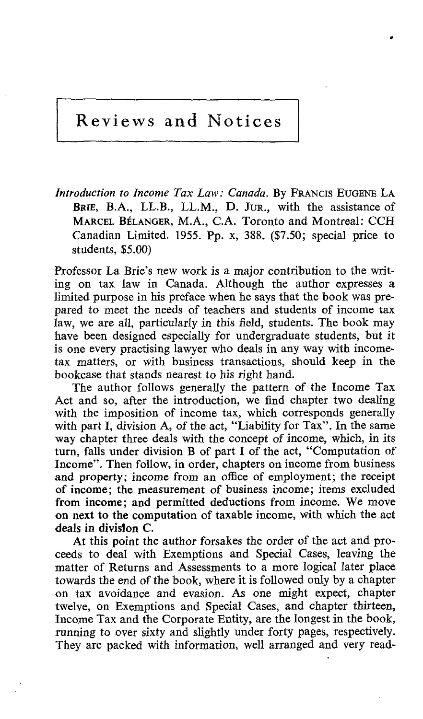# Reviews and Notices

Introduction to Income Tax Law: Canada. By FRANCIS EUGENE LA BRIE, B.A., LL.B., LL.M., D. JUR., with the assistance of MARCEL BÉLANGER, M.A., C.A. Toronto and Montreal: CCH Canadian Limited. 1955. Pp. x, 388. (\$7.50; special price to students, \$5.00)

Professor La Brie's new work is a major contribution to the writing on tax law in Canada . Although the author expresses a limited purpose in his preface when he says that the book was prepared to meet the needs of teachers and students of income tax law, we are all, particularly in this field, students. The book may have been designed especially for undergraduate students, but it is one every practising lawyer who deals in any way with incometax matters, or with business transactions, should keep in the bookcase that stands nearest to his right hand.

The author follows generally the pattern of the Income Tax Act and so, after the introduction, we find chapter two dealing with the imposition of income tax, which corresponds generally with part 1, division A, of the act, "Liability for Tax". In the same way chapter three deals with the concept of income, which, in its turn, falls under division B of part <sup>I</sup> of the act, "Computation of Income". Then follow, in order, chapters on income from business and property; income from an office of employment; the receipt of income; the measurement of business income; items excluded from income; and permitted deductions from income. We move on next to the computation of taxable income, with which the act deals in division C.

At this point the author forsakes the order of the act and proceeds to deal with Exemptions and Special Cases, leaving the matter of Returns and Assessments to a more logical later place towards the end of the book, where it is followed only by a chapter on tax avoidance and evasion. As one might expect, chapter twelve, on Exemptions and Special Cases, and chapter thirteen, Income Tax and the Corporate Entity, are the longest in the book, running to over sixty and slightly under forty pages, respectively. They are packed with information, well arranged and very read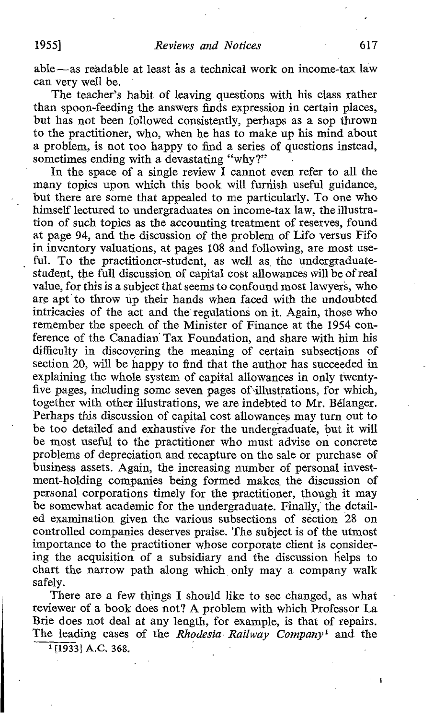able-as readable at least âs a technical work on income-tax law can very well be.

The teacher's habit of leaving questions with his class rather than spoon-feeding the answers finds expression in certain places, but has not been followed consistently, perhaps as a sop thrown to the practitioner, who, when he has to make up his mind about a problem, is not too happy to find a series of questions instead, sometimes ending with a devastating "why?"

In the space of a single review I cannot even refer to all the many topics upon which this book will furnish useful guidance, but there are some that appealed to me particularly. To one who himself lectured to undergraduates on income-tax law, the illustration of such topics as the accounting treatment of reserves, found at page 94, and the discussion of the problem of Lifo versus Fifo in inventory valuations, at pages 108 and following, are most useful. To the practitioner-student, as well as the undergraduatestudent, the full discussion of capital cost allowances will be of real value, for this is asubject that seems to confound most lawyers, who are apt to throw up their hands when faced with the undoubted intricacies of the act and the regulations on it . Again, those who remember the speech of the Minister of Finance at the 1954 conference of the Canadian Tax Foundation, and share with him his difficulty in discovering the meaning of certain subsections of section 20, will be happy to find that the author has succeeded in explaining the whole system of capital allowances in only twentyfive pages, including some seven pages of illustrations, for which, together with other illustrations, we are indebted to Mr. Bélanger. Perhaps this discussion of capital cost allowances may turn out to be too detailed and exhaustive for the undergraduate, but it will be most useful to the practitioner who must advise on concrete problems of depreciation and recapture on the sale or purchase of business assets . Again, the increasing number of personal investment-holding companies being formed makes. the discussion of personal corporations timely for the practitioner, though it may be somewhat academic for the undergraduate. Finally, the detailed examination given the various subsections of section 28 on controlled companies deserves praise . The subject is of the utmost importance to the practitioner whose corporate client is considering the acquisition of a subsidiary and the discussion helps to chart the narrow path along which only may <sup>a</sup> company walk safely.

There are a few things I should like to see changed, as what reviewer of a book does not? A problem with which Professor La Brie does not deal at any length, for example, is that of repairs. The leading cases of the Rhodesia Railway Company<sup>1</sup> and the

 $1$ [1933] A.C. 368.

 $\mathbf{I}$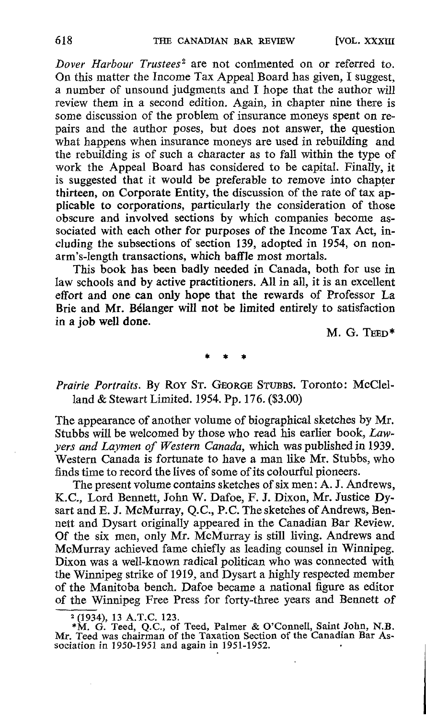Dover Harbour Trustees<sup>2</sup> are not commented on or referred to. On this matter the Income Tax Appeal Board has given, <sup>T</sup> suggest, a number of unsound judgments and <sup>I</sup> hope that the author will review them in a second edition. Again, in chapter nine there is some discussion of the problem of insurance moneys spent on repairs and the author poses, but does not answer, the question what happens when insurance moneys are used in rebuilding and the rebuilding is of such a character as to fall within the type of work the Appeal Board has considered to be capital. Finally, it is suggested that it would be preferable to remove into chapter thirteen, on Corporate Entity, the discussion of the rate of tax applicable to corporations, particularly the consideration of those obscure and involved sections by which companies become associated with each other for purposes of the Income Tax Act, including the subsections of section 139, adopted in 1954, on nonarm's-length transactions, which baffle most mortals.

This book has been badly needed in Canada, both for use in law schools and by active practitioners. All in all, it is an excellent effort and one can only hope that the rewards of Professor La Brie and Mr. Bélanger will not be limited entirely to satisfaction in a job well done.

M. G. TEED\*

Prairie Portraits. By ROY ST. GEORGE STUBBS. Toronto: McClelland & Stewart Limited. 1954. Pp. 176. (\$3.00)

The appearance of another volume of biographical sketches by Mr. Stubbs will be welcomed by those who read his earlier book, Lawyers and Laymen of Western Canada, which was published in 1939. Western Canada is fortunate to have a man like Mr. Stubbs, who finds time to record the lives of some of its colourful pioneers.

The present volume contains sketches of six men: A. J. Andrews, K.C., Lord Bennett, John W. Dafoe, F. J. Dixon, Mr. Justice Dysart and E. J. McMurray, Q.C., P.C. The sketches of Andrews, Bennett and Dysart originally appeared in the Canadian Bar Review. Of the six men, only Mr. McMurray is still living . Andrews and McMurray achieved fame chiefly as leading counsel in Winnipeg. Dixon was a well-known radical politican who was connected with the Winnipeg strike of 1919, and Dysart a highly respected member of the Manitoba bench. Dafoe became a national figure as editor of the Winnipeg Free Press for forty-three years and Bennett of

<sup>2</sup> (1934), 13 A.T.C. 123.<br>
\*M. G. Teed, Q.C., of Teed, Palmer & O'Connell, Saint John, N.B.<br>Mr. Teed was chairman of the Taxation Section of the Canadian Bar As-<br>
Section in 1959, 1951, and egain in 1951, 1952. sociation in 1950-1951 and again in 1951-1952.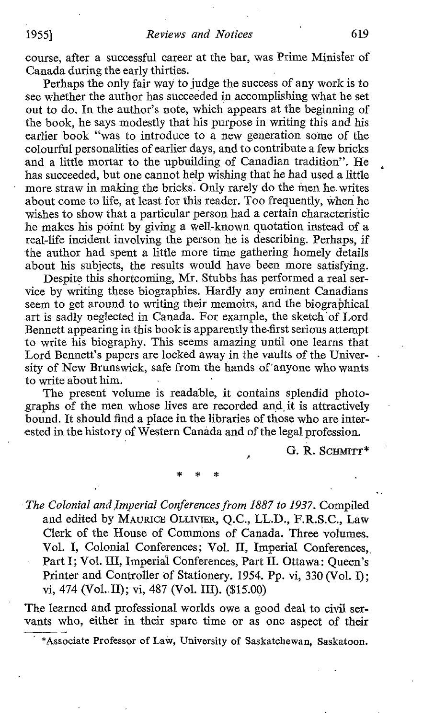course, after a successful career at the bar, was Prime Minister of Canada during the early thirties .

Perhaps the only fair way to judge the success of any work is to see whether the author has succeeded in accomplishing what he set out to do . In the author's note, which appears at the beginning of the book, he says modestly that his purpose in writing this and his earlier book "was to introduce to a new generation some of the colourful personalities of earlier days, and to contribute a few bricks and a little mortar to the upbuilding of Canadian tradition". He has succeeded, but one cannot help wishing that he had used a little more straw in making the bricks. Only rarely do the men he. writes about come to life, at least for this reader. Too frequently, when he wishes to show that a particular person had a certain characteristic he makes his point by giving a well-known quotation instead of a real-life incident involving the person he is describing. Perhaps, if the author had spent a little more time gathering homely details about his subjects, the results would have been more satisfying.

Despite this shortcoming, Mr. Stubbs has performed a real service by writing these biographies. Hardly any eminent Canadians seem to get around to writing their memoirs, and the biographical art is sadly neglected in Canada. For example, the sketch'of Lord Bennett appearing in this book is apparently the-first serious attempt to write his biography. This seems amazing until one learns that Lord Bennett's papers are locked away in the vaults of the University of New Brunswick, safe from the hands of'anyone whowants to write about him.

The present volume is readable, it contains splendid photographs of the men whose lives are recorded and it is attractively bound. It should find a place in the libraries of those who are interested in the history of Western Canada and of the legal profession.

G. R. SCHMITT\*

The Colonial and Imperial Conferences from 1887 to 1937. Compiled and edited by MAURICE OLLIVIER, O.C., LL.D., F.R.S.C., Law Clerk of the House of Commons of Canada. Three volumes. Vol. I. Colonial Conferences; Vol. II, Imperial Conferences, Part I; Vol. III, Imperial Conferences, Part II. Ottawa: Queen's Printer and Controller of Stationery. 1954. Pp. vi, 330 (Vol. I); vi, 474 (Vol. II); vi, 487 (Vol. III),  $(15.00)$ 

The learned and professional worlds owe a good deal to civil servants who, either in their spare time or as one aspect of their

<sup>\*</sup>Associate Professor of Law, University of Saskatchewan, Saskatoon.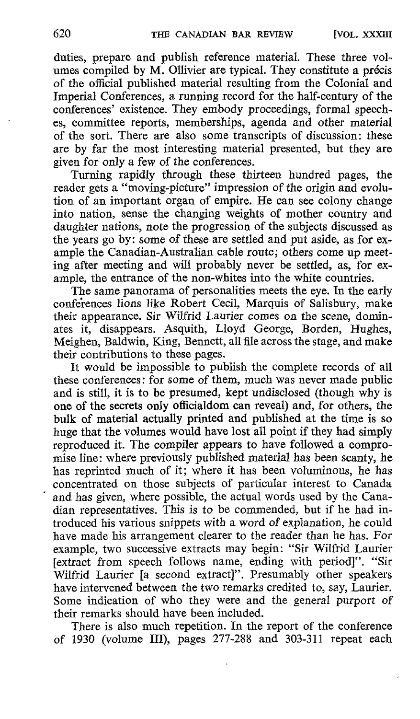duties, prepare and publish reference material. These three volumes compiled by M. Ollivier are typical. They constitute <sup>a</sup> précis of the official published material resulting from the Colonial and Imperial Conferences, a running record for the half-century of the conferences' existence. They embody proceedings, formal speeches, committee reports, memberships, agenda and other material of the sort. There are also some transcripts of discussion : these are by far the most interesting material presented, but they are given for only a few of the conferences.

Turning rapidly through these thirteen hundred pages, the reader gets a "moving-picture" impression of the origin and evolution of an important organ of empire. He can see colony change into nation, sense the changing weights of mother country and daughter nations, note the progression of the subjects discussed as the years go by: some of these are settled and put aside, as for example the Canadian-Australian cable route; others come up meeting after meeting and will probably never be settled, as, for example, the entrance of the non-whites into the white countries.

The same panorama of personalities meets the eye. In the early conferences lions like Robert Cecil, Marquis of Salisbury, make their appearance. Sir Wilfrid Laurier comes on the scene, dominates it, disappears. Asquith, Lloyd George, Borden, Hughes, Meighen, Baldwin, King, Bennett, all file across the stage, and make their contributions to these pages.

It would be impossible to publish the complete records of all these conferences : for some of them, much was never made public and is still, it is to be presumed, kept undisclosed (though why is one of the secrets only officialdom can reveal) and, for others, the bulk of material actually printed and published at the time is so huge that the volumes would have lost all point if they had simply reproduced it . The compiler appears to have followed a compromise line: where previously published material has been scanty, he has reprinted much of it; where it has been voluminous, he has concentrated on those subjects of particular interest to Canada and has given, where possible, the actual words used by the Canadian representatives . This is to be commended, but if he had introduced his various snippets with a word of explanation, he could have made his arrangement clearer to the reader than he has. For example, two successive extracts may begin: "Sir Wilfrid Laurier [extract from speech follows name, ending with period]". "Sir Wilfrid Laurier [a second extract]". Presumably other speakers have intervened between the two remarks credited to, say, Laurier. Some indication of who they were and the general purport of their remarks should have been included.

There is also much repetition. In the report of the conference of 1930 (volume III), pages 277-288 and 303-311 repeat each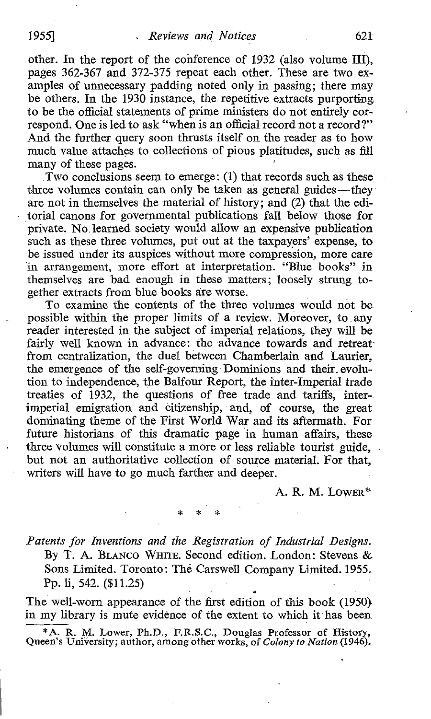other. In the report of the conference of 1932 (also volume III), pages 362-367 and 372-375 repeat each other. These are two examples of unnecessary padding noted only in passing: there may be others . In the 1930 instance, the repetitive extracts purporting. to be the official statements of prime ministers do not entirely correspond. One is led to ask "when is an official record not a record?" And the further query soon thrusts itself on the reader as to how much value attaches to collections of pious platitudes, such as fill many of these pages.

Two conclusions seem to emerge : (1) that records such as these three volumes contain can only be taken as general guides—they are not in themselves the material of history; and (2) that the editorial canons for governmental publications fall below those for private. No learned society would allow an expensive publication such as these three volumes, put out at the taxpayers' expense, to be issued under its auspices without more compression, more care in arrangement, more effort at interpretation. "Blue books" in themselves are bad enough in these matters: loosely strung together extracts from blue books are worse.

To examine the contents of the three volumes would not be possible within the proper limits of a review. Moreover, to any reader interested in the subject of imperial relations, they will be fairly well known in advance: the advance towards and retreat from centralization, the duel between Chamberlain and Laurier, the emergence of the self-governing Dominions and their evolution to independence, the Balfour Report, the inter-Imperial trade treaties of 1932, the questions of free trade and tariffs, inter- . imperial emigration and citizenship, and, of course, the great dominating theme of the First World War and its aftermath. For future historians of this dramatic page in human affairs, these three volumes will constitute a more or less reliable tourist guide, but not an authoritative collection of source material. For that, writers will have to go much farther and deeper.

#### A. R. M. LowER\*

Patents for Inventions and the Registration of Industrial Designs. By T. A. BLANCO WHITE. Second edition. London: Stevens & Sons Limited. Toronto: The Carswell Company Limited. 1955. Pp. li, 542. (\$11.25)

The well-worn appearance of the first edition of this book (1950} in my library is mute evidence of the extent to which it has been

\*A. R. M. Lower, Ph.D., F.R.S.C., Douglas Professor of History, Queen's University; author, among other works, of Colony to Nation (1946).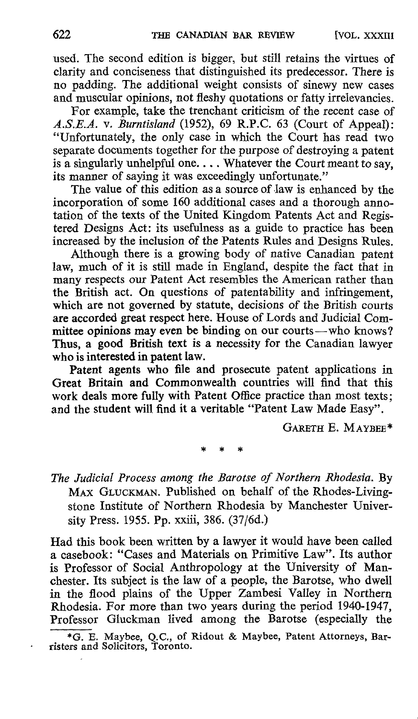used. The second edition is bigger, but still retains the virtues of clarity and conciseness that distinguished its predecessor. There is no padding. The additional weight consists of sinewy new cases and muscular opinions, not fleshy quotations or fatty irrelevancies.

For example, take the trenchant criticism of the recent case of A.S.E.A. v. Burntisland (1952), 69 R.P.C. 63 (Court of Appeal): "Unfortunately, the only case in which the Court has read two separate documents together for the purpose of destroying a patent is a singularly unhelpful one.... Whatever the Court meant to say, its manner of saying it was exceedingly unfortunate."

The value of this edition as a source of law is enhanced by the incorporation of some 160 additional cases and a thorough annotation of the texts of the United Kingdom Patents Act and Registered Designs Act: its usefulness as a guide to practice has been increased by the inclusion of the Patents Rules and Designs Rules.

Although there is a growing body of native Canadian patent law, much of it is still made in England, despite the fact that in many respects our Patent Act resembles the American rather than the British act. On questions of patentability and infringement, which are not governed by statute, decisions of the British courts are accorded great respect here. House of Lords and Judicial Committee opinions may even be binding on our courts-who knows? Thus, a good British text is a necessity for the Canadian lawyer who is interested in patent law.

Patent agents who file and prosecute patent applications in Great Britain and Commonwealth countries will find that this work deals more fully with Patent Office practice than most texts ; and the student will find it a veritable "Patent Law Made Easy".

GARETH E. MAYBEE\*

The Judicial Process among the Barotse of Northern Rhodesia . By MAX GLUCKMAN. Published on behalf of the Rhodes-Livingstone Institute of Northern Rhodesia by Manchester University Press. 1955. Pp. xxiii, 386. (37/6d.)

Had this book been written by a lawyer it would have been called a casebook: "Cases and Materials on Primitive Law". Its author is Professor of Social Anthropology at the University of Manchester. Its subject is the law of a people, the Barotse, who dwell in the flood plains of the Upper Zambesi Valley in Northern Rhodesia. For more than two years during the period 1940-1947, Professor Gluckman lived among the Barotse (especially the

\*G. E. Maybee, Q.C., of Ridout & Maybee, Patent Attorneys, Bar-risters and Solicitors, Toronto.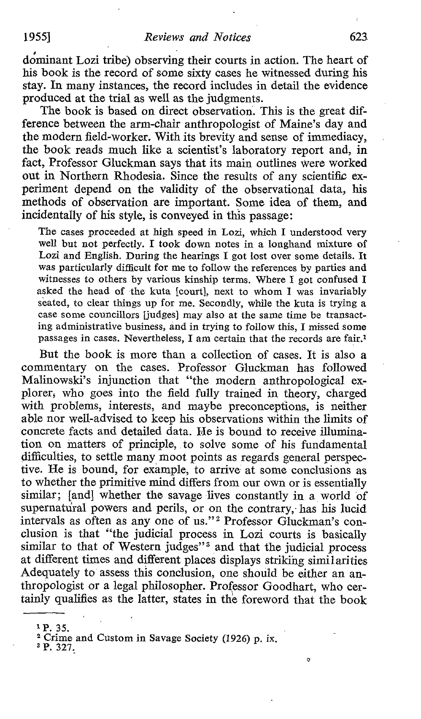A dominant Lozi tribe) observing their courts in action. The heart of his book is the record of some sixty cases he witnessed during his stay. In many instances, the record includes in detail the evidence produced at the trial as well as the judgments.

The book is based on direct observation. This is the great difference between the arm-chair anthropologist of Maine's day and the modern field-worker. With its brevity and sense of immediacy, the book reads much like a scientist's laboratory report and, in fact, Professor Gluckman says that its main outlines were worked out in Northern Rhodesia. Since the results of any scientific experiment depend on the validity of the observational data, his methods of observation are important. Some idea of them, and incidentally of his style, is conveyed in this passage:

The cases proceeded at high speed in Lozi, which <sup>I</sup> understood very well but not perfectly. I took down notes in a longhand mixture of Lozi and English. During the hearings I got lost over some details. It was particularly difficult for me to follow the references by parties and witnesses to others by various kinship terms. Where <sup>I</sup> got confused I asked the head of the kuta [court], next to whom <sup>I</sup> was invariably seated, to clear things up for me. Secondly, while the kuta is trying a case some councillors [judges] may also at the same time be transacting administrative business, and in trying to follow this, I missed some passages in cases. Nevertheless, <sup>I</sup> am certain that the records are fair.'

But the book is more than a collection of cases. It is also a commentary on the cases. Professor Gluckman has followed Malinowski's injunction that "the modern anthropological ex plorer, who goes into the field fully trained in theory, charged with problems, interests, and maybe preconceptions, is neither able nor well-advised to keep his observations within the limits of concrete facts and detailed data. He is bound to receive illumination on matters of principle, to solve some of his fundamental difficulties, to settle many moot points as regards general perspective. He is bound, for example, to arrive at some conclusions as to whether the primitive mind differs from our own or is essentially similar; [and] whether the savage lives constantly in a world of supernatural powers and perils, or on the contrary, has his lucid intervals as often as any one of us."' Professor Gluckman's conclusion is that "the judicial process in Lozi courts is basically similar to that of Western judges"<sup>3</sup> and that the judicial process at different times and different places displays striking similarities Adequately to assess this conclusion, one should be either an anthropologist or <sup>a</sup> legal philosopher. Professor Goodhart, who certainly qualifies as the latter, states in the foreword that the book

 $\sigma$ 

 $^{1}$  P. 35. <sup>2</sup> Crime and Custom in Savage Society (1926) p. ix.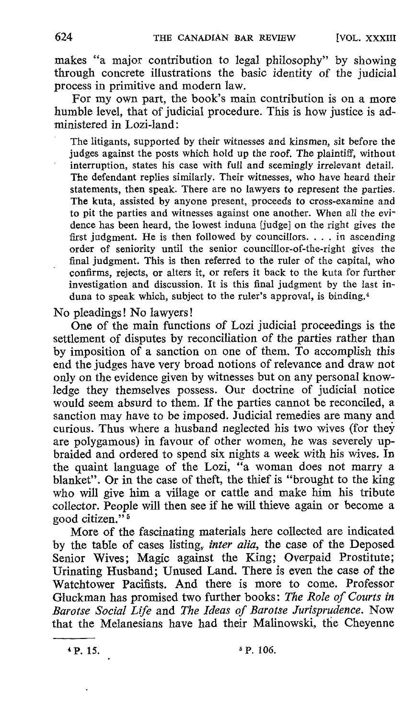makes "a major contribution to legal philosophy" by showing through concrete illustrations the basic identity of the judicial process in primitive and modern law.

For my own part, the book's main contribution is on <sup>a</sup> more humble level, that of judicial procedure. This is how justice is administered in Lozi-land :

The litigants, supported by their witnesses and kinsmen, sit before the judges against the posts which hold up the roof. The plaintiff, without interruption, states his case with full and seemingly irrelevant detail. The defendant replies similarly. Their witnesses, who have heard their statements, then speak. There are no lawyers to represent the parties . The kuta, assisted by anyone present, proceeds to cross-examine and to pit the parties and witnesses against one another. When all the evidence has been heard, the lowest induna [judgel on the right gives the first judgment. He is then followed by councillors.  $\dots$  in ascending order of seniority until the senior councillor-of-the-right gives the final judgment. This is then referred to the ruler of the capital, who confirms, rejects, or alters it, or refers it back to the kuta for further investigation and discussion . It is this final judgment by the last induna to speak which, subject to the ruler's approval, is binding.¢

No pleadings! No lawyers

One of the main functions of Lozi judicial proceedings is the settlement of disputes by reconciliation of the parties rather than by imposition of a sanction on one of them. To accomplish this end the judges have very broad notions of relevance and draw not only on the evidence given by witnesses but on any personal knowledge they themselves possess. Our doctrine of judicial notice would seem absurd to them. If the parties cannot be reconciled, a sanction may have to be imposed. Judicial remedies are many and curious. Thus where a husband neglected his two wives (for they are polygamous) in favour of other women, he was severely upbraided and ordered to spend six nights a week with his wives. In the quaint language of the Lozi, "a woman does not marry a blanket". Or in the case of theft, the thief is "brought to the king who will give him a village or cattle and make him his tribute collector. People will then see if he will thieve again or become a good citizen." <sup>5</sup>

More of the fascinating materials here collected are indicated by the table of cases listing, inter alia, the case of the Deposed Senior Wives; Magic against the King; Overpaid Prostitute; Urinating Husband; Unused Land. There is even the case of the Watchtower Pacifists. And there is more to come. Professor Gluckman has promised two further books: The Role of Courts in Barotse Social Life and The Ideas of Barotse Jurisprudence. Now that the Melanesians have had their Malinowski, the Cheyenne